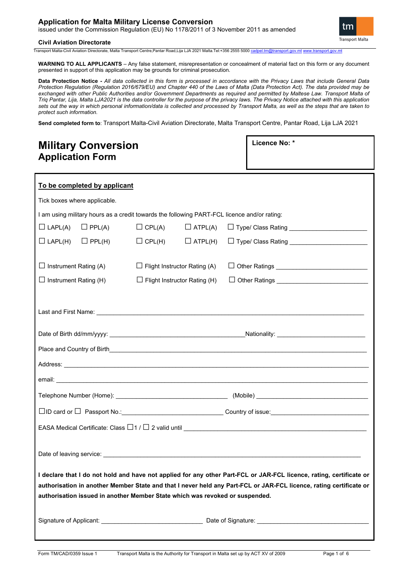### **Application for Malta Military License Conversion**

issued under the Commission Regulation (EU) No 1178/2011 of 3 November 2011 as amended

#### **Civil Aviation Directorate**

tm **Transport Malta** 

Transport Malta-Civil Aviation Directorate, Malta Transport Centre,Pantar Road,Lija LJA 2021 Malta.Tel:+356 2555 5000 cadp

**WARNING TO ALL APPLICANTS** – Any false statement, misrepresentation or concealment of material fact on this form or any document presented in support of this application may be grounds for criminal prosecution.

**Data Protection Notice -** *All data collected in this form is processed in accordance with the Privacy Laws that include General Data Protection Regulation (Regulation 2016/679/EU) and Chapter 440 of the Laws of Malta (Data Protection Act). The data provided may be exchanged with other Public Authorities and/or Government Departments as required and permitted by Maltese Law. Transport Malta of Triq Pantar, Lija, Malta LJA2021 is the data controller for the purpose of the privacy laws. The Privacy Notice attached with this application sets out the way in which personal information/data is collected and processed by Transport Malta, as well as the steps that are taken to protect such information.*

**Send completed form to**: Transport Malta-Civil Aviation Directorate, Malta Transport Centre, Pantar Road, Lija LJA 2021

| <b>Military Conversion</b><br><b>Application Form</b>                                       |                                                                              |                              |                              | Licence No: * |                                                                                                                                                                                                                                           |  |  |
|---------------------------------------------------------------------------------------------|------------------------------------------------------------------------------|------------------------------|------------------------------|---------------|-------------------------------------------------------------------------------------------------------------------------------------------------------------------------------------------------------------------------------------------|--|--|
|                                                                                             |                                                                              |                              |                              |               |                                                                                                                                                                                                                                           |  |  |
|                                                                                             | To be completed by applicant                                                 |                              |                              |               |                                                                                                                                                                                                                                           |  |  |
|                                                                                             | Tick boxes where applicable.                                                 |                              |                              |               |                                                                                                                                                                                                                                           |  |  |
| I am using military hours as a credit towards the following PART-FCL licence and/or rating: |                                                                              |                              |                              |               |                                                                                                                                                                                                                                           |  |  |
| $\Box$ LAPL(A) $\Box$ PPL(A)                                                                |                                                                              |                              | $\Box$ CPL(A) $\Box$ ATPL(A) |               | □ Type/ Class Rating __________________________                                                                                                                                                                                           |  |  |
| $\Box$ LAPL(H)                                                                              | $\Box$ PPL(H)                                                                | $\Box$ CPL(H) $\Box$ ATPL(H) |                              |               |                                                                                                                                                                                                                                           |  |  |
| $\Box$ Instrument Rating (A)<br>$\Box$ Flight Instructor Rating (A)                         |                                                                              |                              |                              |               |                                                                                                                                                                                                                                           |  |  |
| $\Box$ Instrument Rating (H)<br>$\Box$ Flight Instructor Rating (H)                         |                                                                              |                              |                              |               |                                                                                                                                                                                                                                           |  |  |
|                                                                                             |                                                                              |                              |                              |               |                                                                                                                                                                                                                                           |  |  |
|                                                                                             |                                                                              |                              |                              |               |                                                                                                                                                                                                                                           |  |  |
|                                                                                             |                                                                              |                              |                              |               |                                                                                                                                                                                                                                           |  |  |
|                                                                                             |                                                                              |                              |                              |               |                                                                                                                                                                                                                                           |  |  |
|                                                                                             |                                                                              |                              |                              |               |                                                                                                                                                                                                                                           |  |  |
|                                                                                             |                                                                              |                              |                              |               |                                                                                                                                                                                                                                           |  |  |
|                                                                                             |                                                                              |                              |                              |               |                                                                                                                                                                                                                                           |  |  |
|                                                                                             |                                                                              |                              |                              |               |                                                                                                                                                                                                                                           |  |  |
|                                                                                             |                                                                              |                              |                              |               |                                                                                                                                                                                                                                           |  |  |
|                                                                                             | authorisation issued in another Member State which was revoked or suspended. |                              |                              |               | I declare that I do not hold and have not applied for any other Part-FCL or JAR-FCL licence, rating, certificate or<br>authorisation in another Member State and that I never held any Part-FCL or JAR-FCL licence, rating certificate or |  |  |
|                                                                                             |                                                                              |                              |                              |               |                                                                                                                                                                                                                                           |  |  |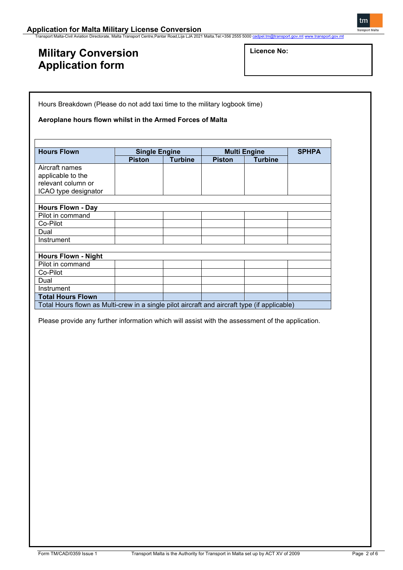**Application for Malta Military License Conversion**<br>Transport Malta-Civil Aviation Directorate, Malta Transport Centre,Pantar Road,Lija LJA 2021 Malta.Tel:+356 2555 5000 <u>[cadpel.tm@transport.gov.mt](mailto:cadpel.tm@transport.gov.mt)</u> [www.transport.gov.mt](http://www.transport.gov.mt/)

## **Military Conversion Application form**

Hours Breakdown (Please do not add taxi time to the military logbook time)

**Aeroplane hours flown whilst in the Armed Forces of Malta**

| <b>Hours Flown</b>                                                                           | <b>Single Engine</b> |                | <b>Multi Engine</b> |                | <b>SPHPA</b> |  |
|----------------------------------------------------------------------------------------------|----------------------|----------------|---------------------|----------------|--------------|--|
|                                                                                              | <b>Piston</b>        | <b>Turbine</b> | <b>Piston</b>       | <b>Turbine</b> |              |  |
| Aircraft names                                                                               |                      |                |                     |                |              |  |
| applicable to the                                                                            |                      |                |                     |                |              |  |
| relevant column or                                                                           |                      |                |                     |                |              |  |
| ICAO type designator                                                                         |                      |                |                     |                |              |  |
|                                                                                              |                      |                |                     |                |              |  |
| <b>Hours Flown - Day</b>                                                                     |                      |                |                     |                |              |  |
| Pilot in command                                                                             |                      |                |                     |                |              |  |
| Co-Pilot                                                                                     |                      |                |                     |                |              |  |
| Dual                                                                                         |                      |                |                     |                |              |  |
| Instrument                                                                                   |                      |                |                     |                |              |  |
|                                                                                              |                      |                |                     |                |              |  |
| <b>Hours Flown - Night</b>                                                                   |                      |                |                     |                |              |  |
| Pilot in command                                                                             |                      |                |                     |                |              |  |
| Co-Pilot                                                                                     |                      |                |                     |                |              |  |
| Dual                                                                                         |                      |                |                     |                |              |  |
| Instrument                                                                                   |                      |                |                     |                |              |  |
| <b>Total Hours Flown</b>                                                                     |                      |                |                     |                |              |  |
| Total Hours flown as Multi-crew in a single pilot aircraft and aircraft type (if applicable) |                      |                |                     |                |              |  |

Please provide any further information which will assist with the assessment of the application.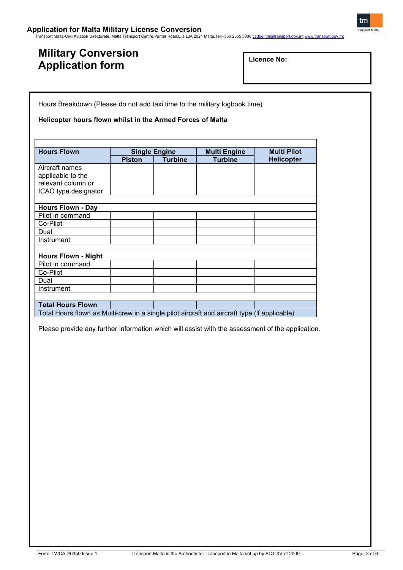# **Military Conversion Application form**

| Licence No: |  |
|-------------|--|
|-------------|--|

Hours Breakdown (Please do not add taxi time to the military logbook time)

### **Helicopter hours flown whilst in the Armed Forces of Malta**

| <b>Hours Flown</b>                                                                           | <b>Single Engine</b> |                | <b>Multi Engine</b> | <b>Multi Pilot</b> |
|----------------------------------------------------------------------------------------------|----------------------|----------------|---------------------|--------------------|
|                                                                                              | <b>Piston</b>        | <b>Turbine</b> | <b>Turbine</b>      | <b>Helicopter</b>  |
| Aircraft names                                                                               |                      |                |                     |                    |
| applicable to the                                                                            |                      |                |                     |                    |
| relevant column or                                                                           |                      |                |                     |                    |
| ICAO type designator                                                                         |                      |                |                     |                    |
|                                                                                              |                      |                |                     |                    |
| <b>Hours Flown - Day</b>                                                                     |                      |                |                     |                    |
| Pilot in command                                                                             |                      |                |                     |                    |
| Co-Pilot                                                                                     |                      |                |                     |                    |
| Dual                                                                                         |                      |                |                     |                    |
| Instrument                                                                                   |                      |                |                     |                    |
|                                                                                              |                      |                |                     |                    |
| <b>Hours Flown - Night</b>                                                                   |                      |                |                     |                    |
| Pilot in command                                                                             |                      |                |                     |                    |
| Co-Pilot                                                                                     |                      |                |                     |                    |
| Dual                                                                                         |                      |                |                     |                    |
| Instrument                                                                                   |                      |                |                     |                    |
|                                                                                              |                      |                |                     |                    |
| <b>Total Hours Flown</b>                                                                     |                      |                |                     |                    |
| Total Hours flown as Multi-crew in a single pilot aircraft and aircraft type (if applicable) |                      |                |                     |                    |

Please provide any further information which will assist with the assessment of the application.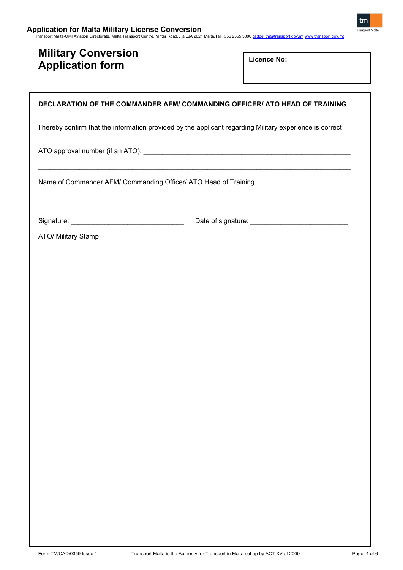## **Military Conversion Application form**

**Licence No:** 

### **DECLARATION OF THE COMMANDER AFM/ COMMANDING OFFICER/ ATO HEAD OF TRAINING**

I hereby confirm that the information provided by the applicant regarding Military experience is correct

\_\_\_\_\_\_\_\_\_\_\_\_\_\_\_\_\_\_\_\_\_\_\_\_\_\_\_\_\_\_\_\_\_\_\_\_\_\_\_\_\_\_\_\_\_\_\_\_\_\_\_\_\_\_\_\_\_\_\_\_\_\_\_\_\_\_\_\_\_\_\_\_\_\_\_\_\_\_\_\_\_\_\_

ATO approval number (if an ATO): \_\_\_\_\_\_\_\_\_\_\_\_\_\_\_\_\_\_\_\_\_\_\_\_\_\_\_\_\_\_\_\_\_\_\_\_\_\_\_\_\_\_\_\_\_\_\_\_\_\_\_\_\_\_\_

Name of Commander AFM/ Commanding Officer/ ATO Head of Training

Signature: \_\_\_\_\_\_\_\_\_\_\_\_\_\_\_\_\_\_\_\_\_\_\_\_\_\_\_\_\_\_ Date of signature: \_\_\_\_\_\_\_\_\_\_\_\_\_\_\_\_\_\_\_\_\_\_\_\_\_\_

ATO/ Military Stamp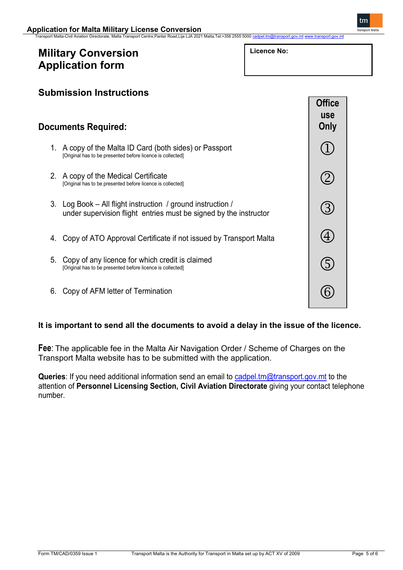Transport Malta-Civil Aviation Directorate, Malta Transport Centre,Pantar Road,Lija LJA 2021 Malta.Tel:+356 2555 5000 [cadpel.tm@transport.gov.mt](mailto:cadpel.tm@transport.gov.mt) [www.transport.gov.mt](http://www.transport.gov.mt/)

## **Military Conversion Application form**

| Licence No: |  |
|-------------|--|
|-------------|--|

**Submission Instructions Documents Required:** 1. A copy of the Malta ID Card (both sides) or Passport [Original has to be presented before licence is collected] 2. A copy of the Medical Certificate [Original has to be presented before licence is collected] 3. Log Book – All flight instruction / ground instruction / under supervision flight entries must be signed by the instructor 4. Copy of ATO Approval Certificate if not issued by Transport Malta 5. Copy of any licence for which credit is claimed [Original has to be presented before licence is collected] 6. Copy of AFM letter of Termination **Office use Only** 1  $\circled{2}$  $\circledS$  $\bigoplus$ G (6)

### **It is important to send all the documents to avoid a delay in the issue of the licence.**

**Fee**: The applicable fee in the Malta Air Navigation Order / Scheme of Charges on the Transport Malta website has to be submitted with the application.

Queries: If you need additional information send an email to [cadpel.tm@transport.gov.mt](mailto:cadpel.tm@transport.gov.mt) to the attention of **Personnel Licensing Section, Civil Aviation Directorate** giving your contact telephone number.